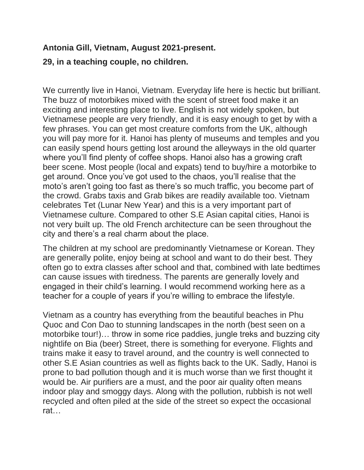## **Antonia Gill, Vietnam, August 2021-present.**

## **29, in a teaching couple, no children.**

We currently live in Hanoi, Vietnam. Everyday life here is hectic but brilliant. The buzz of motorbikes mixed with the scent of street food make it an exciting and interesting place to live. English is not widely spoken, but Vietnamese people are very friendly, and it is easy enough to get by with a few phrases. You can get most creature comforts from the UK, although you will pay more for it. Hanoi has plenty of museums and temples and you can easily spend hours getting lost around the alleyways in the old quarter where you'll find plenty of coffee shops. Hanoi also has a growing craft beer scene. Most people (local and expats) tend to buy/hire a motorbike to get around. Once you've got used to the chaos, you'll realise that the moto's aren't going too fast as there's so much traffic, you become part of the crowd. Grabs taxis and Grab bikes are readily available too. Vietnam celebrates Tet (Lunar New Year) and this is a very important part of Vietnamese culture. Compared to other S.E Asian capital cities, Hanoi is not very built up. The old French architecture can be seen throughout the city and there's a real charm about the place.

The children at my school are predominantly Vietnamese or Korean. They are generally polite, enjoy being at school and want to do their best. They often go to extra classes after school and that, combined with late bedtimes can cause issues with tiredness. The parents are generally lovely and engaged in their child's learning. I would recommend working here as a teacher for a couple of years if you're willing to embrace the lifestyle.

Vietnam as a country has everything from the beautiful beaches in Phu Quoc and Con Dao to stunning landscapes in the north (best seen on a motorbike tour!)… throw in some rice paddies, jungle treks and buzzing city nightlife on Bia (beer) Street, there is something for everyone. Flights and trains make it easy to travel around, and the country is well connected to other S.E Asian countries as well as flights back to the UK. Sadly, Hanoi is prone to bad pollution though and it is much worse than we first thought it would be. Air purifiers are a must, and the poor air quality often means indoor play and smoggy days. Along with the pollution, rubbish is not well recycled and often piled at the side of the street so expect the occasional rat…